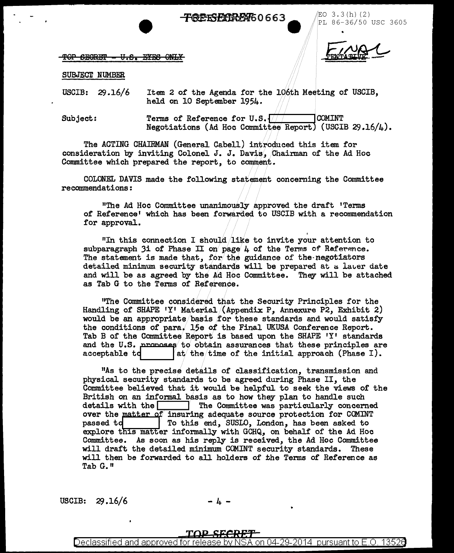**TREESFIERFAG0663** 

EO  $3.3(h)(2)$ PL 86-36/50 USC 3605

TOP SECRET - U.S. EYES ONLY

#### SUBJECT NUMBER

USCIB:  $29.16/6$ Item 2 of the Agenda for the 106th Meeting of USCIB, held on 10 September 1954.

Terms of Reference for U.S.  $\sqrt{ }$ Subject: **COMINT** Negotiations (Ad Hoc Committee Report) (USCIB 29.16/4).

The ACTING CHAIRMAN (General Cabell) introduced this item for consideration by inviting Colonel J. J. Davis, Chairman of the Ad Hoc Committee which prepared the report, to comment.

COLONEL DAVIS made the following statement concerning the Committee recommendations:

"The Ad Hoc Committee unanimously approved the draft 'Terms of Reference' which has been forwarded to USCIB with a recommendation for approval.

"In this connection I should like to invite your attention to subparagraph 3i of Phase II on page 4 of the Terms of Reference. The statement is made that, for the guidance of the negotiators detailed minimum security standards will be prepared at a later date and will be as agreed by the Ad Hoc Committee. They will be attached as Tab G to the Terms of Reference.

"The Committee considered that the Security Principles for the Handling of SHAPE 'Y' Material (Appendix P, Annexure P2, Exhibit 2) would be an appropriate basis for these standards and would satisfy the conditions of para. 15e of the Final UKUSA Conference Report. Tab B of the Committee Report is based upon the SHAPE 'Y' standards and the U.S. proposes to obtain assurances that these principles are at the time of the initial approach (Phase I). acceptable td

"As to the precise details of classification, transmission and physical security standards to be agreed during Phase II, the Committee believed that it would be helpful to seek the views of the British on an informal basis as to how they plan to handle such details with the  $\Box$ The Committee was particularly concerned over the matter of insuring adequate source protection for COMINT To this end, SUSLO, London, has been asked to passed to explore this matter informally with GCHQ, on behalf of the Ad Hoc Committee. As soon as his reply is received, the Ad Hoc Committee will draft the detailed minimum COMINT security standards. These will then be forwarded to all holders of the Terms of Reference as Tab G."

USCIB:  $29.16/6$ 

### TOP SECRET

Declassified and approved for release by NSA on 04-29-2014 pursuant to E.O. 13526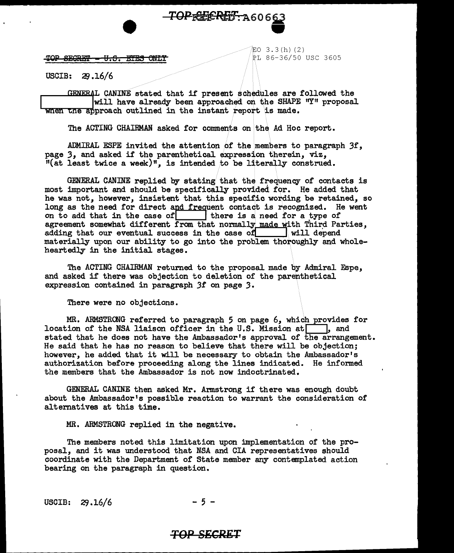# TOPREEREF: A60663

TOP SECRET - U.S. EYES ONLY

 $EO$  3.3 $(h)$  (2) PL 86-36/50 USC 3605

USCIB: ';!J.16/6 ::1L c,\lllllll stated that ir present ~ch~iµes are f ollcwed the lwill have already been approached./ on. t.h. e SHAPE 11Y11 proposal when e pproach outlined in the instant report is made.

The ACTING CHAIRMAN asked for comments on the Ad Hoc report.

ADMIRAL ESPE invited the attention of the members to paragraph 3f, page *3,* and asked if the parenthetical expression therein, viz,  $"$ (at least twice a week)", is intended to be literally construed.

GENERAL CANINE replied by stating that the frequency of contacts is most important and should be specifically provided for. He added that he was not, however, insistent that this specific wording be retained, so long as the need for direct and frequent contact is recognized. He went on to add that in the case of  $\vert$  there is a need for a type of on to add that in the case of  $\Box$ agreement somewhat different from that normally made with Third Parties, adding that our eventual success in the case of  $\|$  will depend adding that our eventual success in the case of materially upon our ability to go into the problem thoroughly and wholeheartedly in the initial stages.

The ACTING CHAIRMAN retumed to the proposal made by Admiral Fspe, and asked if there was objection to deletion of the parenthetical expression contained in paragraph *3f* on page *3.* 

There were no objections.

MR. ARMSTRCNG referred to paragraph 5 on page 6, which provides for location of the NSA liaison officer in the U.S. Mission at  $\Box$ , and stated that he does not have the Ambassador's approval of the arrangement. He said that he has no reason to believe that there will be objection; however, he added that it will be necessary to obtain the Ambassador's authorization before proceeding along the lines indicated. He informed the members that the Ambassador is not now indoctrinated.

GENERAL CANINE then asked Mr. Armstrong if there was enough doubt about the Ambassador's possible reaction to warrant the consideration of altematives at this time.

MR. ARMSTRONG replied in the negative.

The members noted this limitation upon implementation of the proposal, and it was understood that NSA and CIA representatives should coordinate with the Department of State member any contemplated action bearing on the paragraph in question.

USCIB: 29.16/6 - 5 -

## **TOP SECRET**